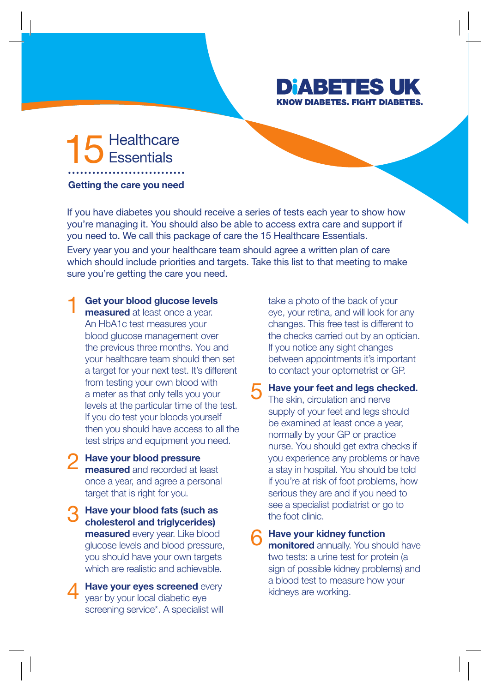## **DIABETE KNOW DIABETES. FIGHT DIABETES.**

## Healthcare

Getting the care you need

If you have diabetes you should receive a series of tests each year to show how you're managing it. You should also be able to access extra care and support if you need to. We call this package of care the 15 Healthcare Essentials.

Every year you and your healthcare team should agree a written plan of care which should include priorities and targets. Take this list to that meeting to make sure you're getting the care you need.

## Get your blood glucose levels 1

measured at least once a year. An HbA1c test measures your blood glucose management over the previous three months. You and your healthcare team should then set a target for your next test. It's different from testing your own blood with a meter as that only tells you your levels at the particular time of the test. If you do test your bloods yourself then you should have access to all the test strips and equipment you need.

- Have your blood pressure measured and recorded at least once a year, and agree a personal target that is right for you. 2
- Have your blood fats (such as cholesterol and triglycerides) measured every year. Like blood glucose levels and blood pressure, you should have your own targets which are realistic and achievable. 3
- Have your eyes screened every year by your local diabetic eye screening service\*. A specialist will 4

take a photo of the back of your eye, your retina, and will look for any changes. This free test is different to the checks carried out by an optician. If you notice any sight changes between appointments it's important to contact your optometrist or GP.

Have your feet and legs checked. The skin, circulation and nerve supply of your feet and legs should be examined at least once a year, normally by your GP or practice nurse. You should get extra checks if you experience any problems or have a stay in hospital. You should be told if you're at risk of foot problems, how serious they are and if you need to see a specialist podiatrist or go to the foot clinic. 5

Have your kidney function monitored annually. You should have two tests: a urine test for protein (a sign of possible kidney problems) and a blood test to measure how your kidneys are working. 6